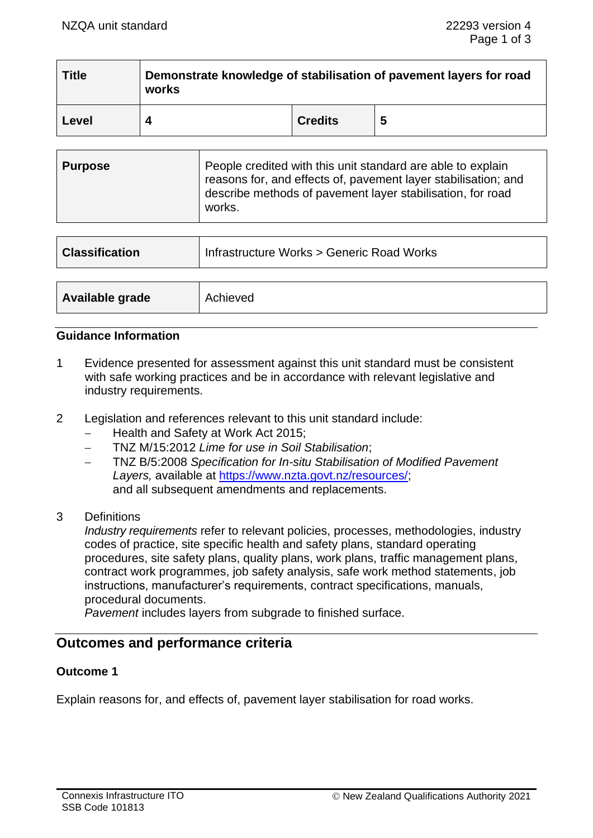| <b>Title</b> | Demonstrate knowledge of stabilisation of pavement layers for road<br>works |                |    |
|--------------|-----------------------------------------------------------------------------|----------------|----|
| Level        |                                                                             | <b>Credits</b> | -5 |

| <b>Purpose</b> | People credited with this unit standard are able to explain<br>reasons for, and effects of, pavement layer stabilisation; and<br>describe methods of pavement layer stabilisation, for road<br>works. |
|----------------|-------------------------------------------------------------------------------------------------------------------------------------------------------------------------------------------------------|
|----------------|-------------------------------------------------------------------------------------------------------------------------------------------------------------------------------------------------------|

| <b>Classification</b> | Infrastructure Works > Generic Road Works |  |
|-----------------------|-------------------------------------------|--|
|                       |                                           |  |
| Available grade       | Achieved                                  |  |

# **Guidance Information**

- 1 Evidence presented for assessment against this unit standard must be consistent with safe working practices and be in accordance with relevant legislative and industry requirements.
- 2 Legislation and references relevant to this unit standard include:
	- − Health and Safety at Work Act 2015;
	- − TNZ M/15:2012 *Lime for use in Soil Stabilisation*;
	- − TNZ B/5:2008 *Specification for In-situ Stabilisation of Modified Pavement Layers,* available at https:/[/www.nzta.govt.nz/resources/;](http://www.nzta.govt.nz/resources/) and all subsequent amendments and replacements.
- 3 Definitions

*Industry requirements* refer to relevant policies, processes, methodologies, industry codes of practice, site specific health and safety plans, standard operating procedures, site safety plans, quality plans, work plans, traffic management plans, contract work programmes, job safety analysis, safe work method statements, job instructions, manufacturer's requirements, contract specifications, manuals, procedural documents.

*Pavement* includes layers from subgrade to finished surface.

# **Outcomes and performance criteria**

# **Outcome 1**

Explain reasons for, and effects of, pavement layer stabilisation for road works.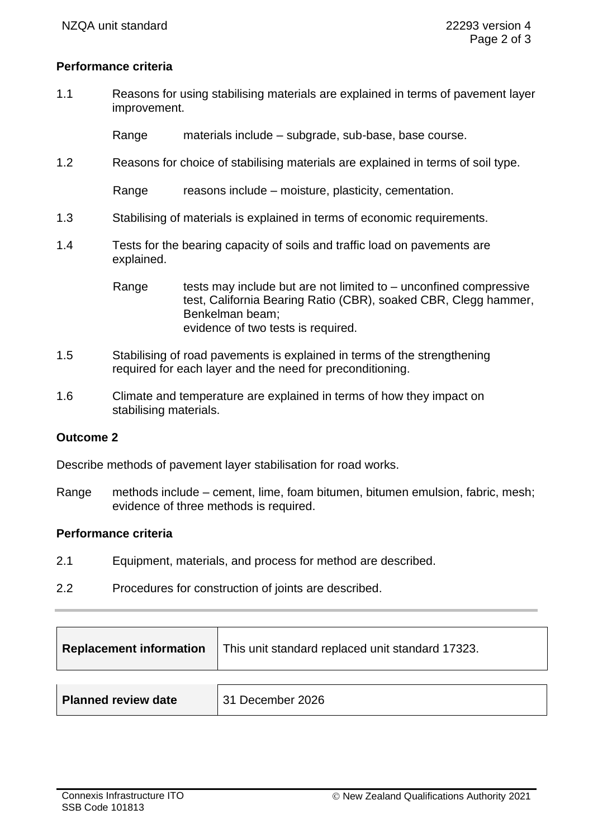# **Performance criteria**

1.1 Reasons for using stabilising materials are explained in terms of pavement layer improvement.

Range materials include – subgrade, sub-base, base course.

1.2 Reasons for choice of stabilising materials are explained in terms of soil type.

Range reasons include – moisture, plasticity, cementation.

- 1.3 Stabilising of materials is explained in terms of economic requirements.
- 1.4 Tests for the bearing capacity of soils and traffic load on pavements are explained.

Range tests may include but are not limited to  $-$  unconfined compressive test, California Bearing Ratio (CBR), soaked CBR, Clegg hammer, Benkelman beam; evidence of two tests is required.

- 1.5 Stabilising of road pavements is explained in terms of the strengthening required for each layer and the need for preconditioning.
- 1.6 Climate and temperature are explained in terms of how they impact on stabilising materials.

# **Outcome 2**

Describe methods of pavement layer stabilisation for road works.

Range methods include – cement, lime, foam bitumen, bitumen emulsion, fabric, mesh; evidence of three methods is required.

#### **Performance criteria**

- 2.1 Equipment, materials, and process for method are described.
- 2.2 Procedures for construction of joints are described.

| <b>Replacement information</b> | This unit standard replaced unit standard 17323. |
|--------------------------------|--------------------------------------------------|
|                                |                                                  |
| <b>Planned review date</b>     | 31 December 2026                                 |